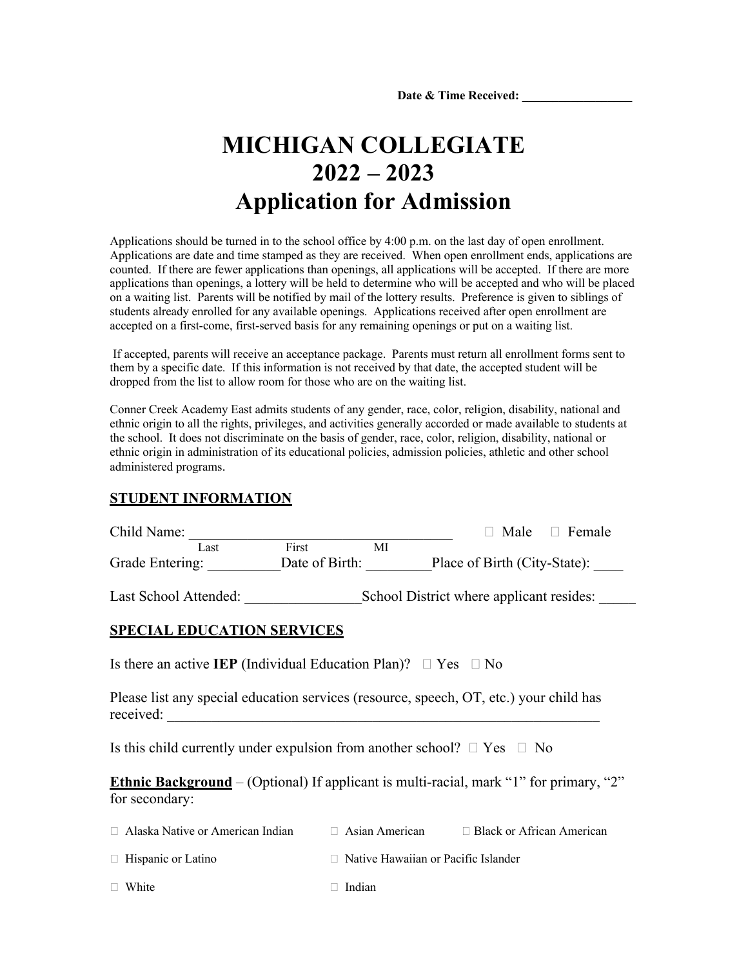Date & Time Received:

## **MICHIGAN COLLEGIATE 2022 – 2023 Application for Admission**

Applications should be turned in to the school office by 4:00 p.m. on the last day of open enrollment. Applications are date and time stamped as they are received. When open enrollment ends, applications are counted. If there are fewer applications than openings, all applications will be accepted. If there are more applications than openings, a lottery will be held to determine who will be accepted and who will be placed on a waiting list. Parents will be notified by mail of the lottery results. Preference is given to siblings of students already enrolled for any available openings. Applications received after open enrollment are accepted on a first-come, first-served basis for any remaining openings or put on a waiting list.

If accepted, parents will receive an acceptance package. Parents must return all enrollment forms sent to them by a specific date. If this information is not received by that date, the accepted student will be dropped from the list to allow room for those who are on the waiting list.

Conner Creek Academy East admits students of any gender, race, color, religion, disability, national and ethnic origin to all the rights, privileges, and activities generally accorded or made available to students at the school. It does not discriminate on the basis of gender, race, color, religion, disability, national or ethnic origin in administration of its educational policies, admission policies, athletic and other school administered programs.

## **STUDENT INFORMATION**

| Child Name:                                                                                                     |       |    |                                          | Male $\Box$ Female |
|-----------------------------------------------------------------------------------------------------------------|-------|----|------------------------------------------|--------------------|
| Last                                                                                                            | First | MI |                                          |                    |
| Grade Entering: Date of Birth: Place of Birth (City-State):                                                     |       |    |                                          |                    |
| Last School Attended:                                                                                           |       |    | School District where applicant resides: |                    |
| <b>SPECIAL EDUCATION SERVICES</b>                                                                               |       |    |                                          |                    |
| Is there an active IEP (Individual Education Plan)? $\Box$ Yes $\Box$ No                                        |       |    |                                          |                    |
| Please list any special education services (resource, speech, OT, etc.) your child has<br>received:             |       |    |                                          |                    |
| Is this child currently under expulsion from another school? $\Box$ Yes $\Box$ No                               |       |    |                                          |                    |
| <b>Ethnic Background</b> – (Optional) If applicant is multi-racial, mark "1" for primary, "2"<br>for secondary: |       |    |                                          |                    |
| $\Box$ Alaska Native or American Indian $\Box$ Asian American $\Box$ Black or African American                  |       |    |                                          |                    |

| $\Box$ Hispanic or Latino | $\Box$ Native Hawaiian or Pacific Islander |
|---------------------------|--------------------------------------------|
|---------------------------|--------------------------------------------|

 $\Box$  White  $\Box$  Indian